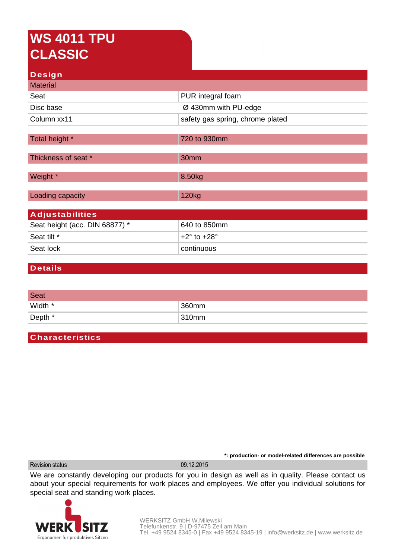## **WS 4011 TPU CLASSIC**

| Design                         |                                  |  |
|--------------------------------|----------------------------------|--|
| <b>Material</b>                |                                  |  |
| Seat                           | PUR integral foam                |  |
| Disc base                      | Ø 430mm with PU-edge             |  |
| Column xx11                    | safety gas spring, chrome plated |  |
|                                |                                  |  |
| Total height *                 | 720 to 930mm                     |  |
| Thickness of seat *            | 30mm                             |  |
| Weight *                       | 8.50kg                           |  |
|                                |                                  |  |
| Loading capacity               | 120 <sub>kg</sub>                |  |
| <b>Adjustabilities</b>         |                                  |  |
| Seat height (acc. DIN 68877) * | 640 to 850mm                     |  |
| Seat tilt *                    | $+2^{\circ}$ to $+28^{\circ}$    |  |
| Seat lock                      | continuous                       |  |
|                                |                                  |  |

## **Details**

| <b>Seat</b> |       |
|-------------|-------|
| Width *     | 360mm |
| Depth *     | 310mm |

## **Characteristics**

Revision status 09.12.2015

We are constantly developing our products for you in design as well as in quality. Please contact us about your special requirements for work places and employees. We offer you individual solutions for special seat and standing work places.



**\*: production- or model-related differences are possible**